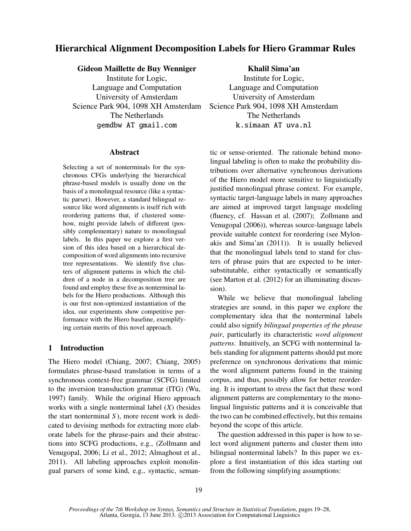# Hierarchical Alignment Decomposition Labels for Hiero Grammar Rules

## Gideon Maillette de Buy Wenniger

Institute for Logic, Language and Computation University of Amsterdam Science Park 904, 1098 XH Amsterdam The Netherlands gemdbw AT gmail.com

### Abstract

Selecting a set of nonterminals for the synchronous CFGs underlying the hierarchical phrase-based models is usually done on the basis of a monolingual resource (like a syntactic parser). However, a standard bilingual resource like word alignments is itself rich with reordering patterns that, if clustered somehow, might provide labels of different (possibly complementary) nature to monolingual labels. In this paper we explore a first version of this idea based on a hierarchical decomposition of word alignments into recursive tree representations. We identify five clusters of alignment patterns in which the children of a node in a decomposition tree are found and employ these five as nonterminal labels for the Hiero productions. Although this is our first non-optimized instantiation of the idea, our experiments show competitive performance with the Hiero baseline, exemplifying certain merits of this novel approach.

# 1 Introduction

The Hiero model (Chiang, 2007; Chiang, 2005) formulates phrase-based translation in terms of a synchronous context-free grammar (SCFG) limited to the inversion transduction grammar (ITG) (Wu, 1997) family. While the original Hiero approach works with a single nonterminal label (*X*) (besides the start nonterminal *S* ), more recent work is dedicated to devising methods for extracting more elaborate labels for the phrase-pairs and their abstractions into SCFG productions, e.g., (Zollmann and Venugopal, 2006; Li et al., 2012; Almaghout et al., 2011). All labeling approaches exploit monolingual parsers of some kind, e.g., syntactic, seman-

Khalil Sima'an Institute for Logic, Language and Computation University of Amsterdam Science Park 904, 1098 XH Amsterdam The Netherlands k.simaan AT uva.nl

tic or sense-oriented. The rationale behind monolingual labeling is often to make the probability distributions over alternative synchronous derivations of the Hiero model more sensitive to linguistically justified monolingual phrase context. For example, syntactic target-language labels in many approaches are aimed at improved target language modeling (fluency, cf. Hassan et al. (2007); Zollmann and Venugopal (2006)), whereas source-language labels provide suitable context for reordering (see Mylonakis and Sima'an (2011)). It is usually believed that the monolingual labels tend to stand for clusters of phrase pairs that are expected to be intersubstitutable, either syntactically or semantically (see Marton et al. (2012) for an illuminating discussion).

While we believe that monolingual labeling strategies are sound, in this paper we explore the complementary idea that the nonterminal labels could also signify *bilingual properties of the phrase pair*, particularly its characteristic *word alignment patterns*. Intuitively, an SCFG with nonterminal labels standing for alignment patterns should put more preference on synchronous derivations that mimic the word alignment patterns found in the training corpus, and thus, possibly allow for better reordering. It is important to stress the fact that these word alignment patterns are complementary to the monolingual linguistic patterns and it is conceivable that the two can be combined effectively, but this remains beyond the scope of this article.

The question addressed in this paper is how to select word alignment patterns and cluster them into bilingual nonterminal labels? In this paper we explore a first instantiation of this idea starting out from the following simplifying assumptions: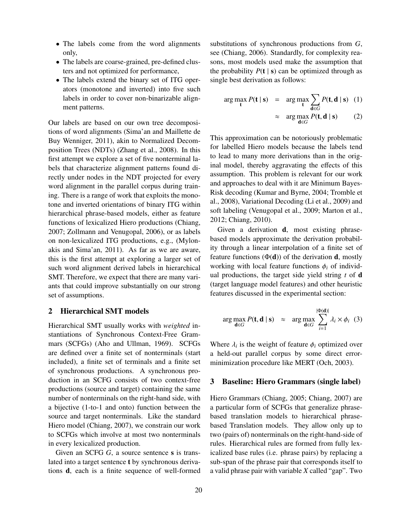- The labels come from the word alignments only,
- The labels are coarse-grained, pre-defined clusters and not optimized for performance,
- The labels extend the binary set of ITG operators (monotone and inverted) into five such labels in order to cover non-binarizable alignment patterns.

Our labels are based on our own tree decompositions of word alignments (Sima'an and Maillette de Buy Wenniger, 2011), akin to Normalized Decomposition Trees (NDTs) (Zhang et al., 2008). In this first attempt we explore a set of five nonterminal labels that characterize alignment patterns found directly under nodes in the NDT projected for every word alignment in the parallel corpus during training. There is a range of work that exploits the monotone and inverted orientations of binary ITG within hierarchical phrase-based models, either as feature functions of lexicalized Hiero productions (Chiang, 2007; Zollmann and Venugopal, 2006), or as labels on non-lexicalized ITG productions, e.g., (Mylonakis and Sima'an, 2011). As far as we are aware, this is the first attempt at exploring a larger set of such word alignment derived labels in hierarchical SMT. Therefore, we expect that there are many variants that could improve substantially on our strong set of assumptions.

## 2 Hierarchical SMT models

Hierarchical SMT usually works with *weighted* instantiations of Synchronous Context-Free Grammars (SCFGs) (Aho and Ullman, 1969). SCFGs are defined over a finite set of nonterminals (start included), a finite set of terminals and a finite set of synchronous productions. A synchronous production in an SCFG consists of two context-free productions (source and target) containing the same number of nonterminals on the right-hand side, with a bijective (1-to-1 and onto) function between the source and target nonterminals. Like the standard Hiero model (Chiang, 2007), we constrain our work to SCFGs which involve at most two nonterminals in every lexicalized production.

Given an SCFG *G*, a source sentence **s** is translated into a target sentence t by synchronous derivations d, each is a finite sequence of well-formed substitutions of synchronous productions from *G*, see (Chiang, 2006). Standardly, for complexity reasons, most models used make the assumption that the probability  $P(t | s)$  can be optimized through as single best derivation as follows:

$$
\arg \max_{\mathbf{t}} P(\mathbf{t} \mid \mathbf{s}) = \arg \max_{\mathbf{t}} \sum_{\mathbf{d} \in G} P(\mathbf{t}, \mathbf{d} \mid \mathbf{s}) \quad (1)
$$

$$
\approx \arg \max_{\mathbf{d} \in G} P(\mathbf{t}, \mathbf{d} \mid \mathbf{s}) \quad (2)
$$

This approximation can be notoriously problematic for labelled Hiero models because the labels tend to lead to many more derivations than in the original model, thereby aggravating the effects of this assumption. This problem is relevant for our work and approaches to deal with it are Minimum Bayes-Risk decoding (Kumar and Byrne, 2004; Tromble et al., 2008), Variational Decoding (Li et al., 2009) and soft labeling (Venugopal et al., 2009; Marton et al., 2012; Chiang, 2010).

Given a derivation **d**, most existing phrasebased models approximate the derivation probability through a linear interpolation of a finite set of feature functions  $(\Phi(d))$  of the derivation **d**, mostly working with local feature functions  $\phi_i$  of individual productions, the target side yield string *t* of d (target language model features) and other heuristic features discussed in the experimental section:

$$
\arg \max_{\mathbf{d} \in G} P(\mathbf{t}, \mathbf{d} \mid \mathbf{s}) \approx \arg \max_{\mathbf{d} \in G} \sum_{i=1}^{|\Phi(\mathbf{d})|} \lambda_i \times \phi_i \quad (3)
$$

Where  $\lambda_i$  is the weight of feature  $\phi_i$  optimized over<br>a held out parallel corpus by some direct error. a held-out parallel corpus by some direct errorminimization procedure like MERT (Och, 2003).

### 3 Baseline: Hiero Grammars (single label)

Hiero Grammars (Chiang, 2005; Chiang, 2007) are a particular form of SCFGs that generalize phrasebased translation models to hierarchical phrasebased Translation models. They allow only up to two (pairs of) nonterminals on the right-hand-side of rules. Hierarchical rules are formed from fully lexicalized base rules (i.e. phrase pairs) by replacing a sub-span of the phrase pair that corresponds itself to a valid phrase pair with variable *X* called "gap". Two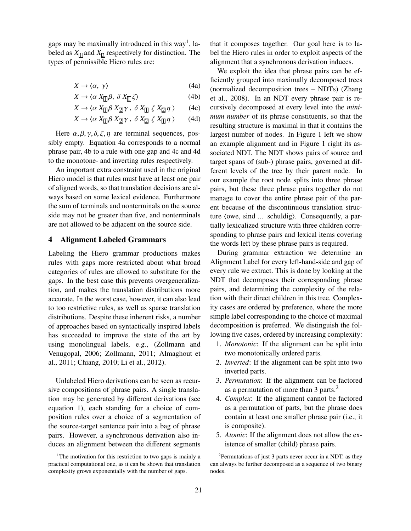gaps may be maximally introduced in this way<sup>1</sup>, labeled as  $X_{\text{II}}$  and  $X_{\text{II}}$  respectively for distinction. The types of permissible Hiero rules are:

$$
X \to \langle \alpha, \gamma \rangle \tag{4a}
$$

$$
X \to \langle \alpha \, X_{\text{II}} \beta, \, \delta \, X_{\text{II}} \zeta \rangle \tag{4b}
$$

$$
X \to \langle \alpha \, X_{\Box} \beta \, X_{\Box} \gamma \, , \, \delta \, X_{\Box} \, \zeta \, X_{\Box} \eta \, \rangle \tag{4c}
$$

$$
X \to \langle \alpha \, X_{\square} \beta \, X_{\square} \gamma \, , \, \delta \, X_{\square} \, \zeta \, X_{\square} \eta \, \rangle \qquad (4d)
$$

Here  $\alpha$ ,  $\beta$ ,  $\gamma$ ,  $\delta$ ,  $\zeta$ ,  $\eta$  are terminal sequences, possibly empty. Equation 4a corresponds to a normal phrase pair, 4b to a rule with one gap and 4c and 4d to the monotone- and inverting rules respectively.

An important extra constraint used in the original Hiero model is that rules must have at least one pair of aligned words, so that translation decisions are always based on some lexical evidence. Furthermore the sum of terminals and nonterminals on the source side may not be greater than five, and nonterminals are not allowed to be adjacent on the source side.

## 4 Alignment Labeled Grammars

Labeling the Hiero grammar productions makes rules with gaps more restricted about what broad categories of rules are allowed to substitute for the gaps. In the best case this prevents overgeneralization, and makes the translation distributions more accurate. In the worst case, however, it can also lead to too restrictive rules, as well as sparse translation distributions. Despite these inherent risks, a number of approaches based on syntactically inspired labels has succeeded to improve the state of the art by using monolingual labels, e.g., (Zollmann and Venugopal, 2006; Zollmann, 2011; Almaghout et al., 2011; Chiang, 2010; Li et al., 2012).

Unlabeled Hiero derivations can be seen as recursive compositions of phrase pairs. A single translation may be generated by different derivations (see equation 1), each standing for a choice of composition rules over a choice of a segmentation of the source-target sentence pair into a bag of phrase pairs. However, a synchronous derivation also induces an alignment between the different segments

that it composes together. Our goal here is to label the Hiero rules in order to exploit aspects of the alignment that a synchronous derivation induces.

We exploit the idea that phrase pairs can be efficiently grouped into maximally decomposed trees (normalized decomposition trees – NDTs) (Zhang et al., 2008). In an NDT every phrase pair is recursively decomposed at every level into the *minimum number* of its phrase constituents, so that the resulting structure is maximal in that it contains the largest number of nodes. In Figure 1 left we show an example alignment and in Figure 1 right its associated NDT. The NDT shows pairs of source and target spans of (sub-) phrase pairs, governed at different levels of the tree by their parent node. In our example the root node splits into three phrase pairs, but these three phrase pairs together do not manage to cover the entire phrase pair of the parent because of the discontinuous translation structure (owe, sind  $\ldots$  schuldig). Consequently, a partially lexicalized structure with three children corresponding to phrase pairs and lexical items covering the words left by these phrase pairs is required.

During grammar extraction we determine an Alignment Label for every left-hand-side and gap of every rule we extract. This is done by looking at the NDT that decomposes their corresponding phrase pairs, and determining the complexity of the relation with their direct children in this tree. Complexity cases are ordered by preference, where the more simple label corresponding to the choice of maximal decomposition is preferred. We distinguish the following five cases, ordered by increasing complexity:

- 1. *Monotonic*: If the alignment can be split into two monotonically ordered parts.
- 2. *Inverted*: If the alignment can be split into two inverted parts.
- 3. *Permutation*: If the alignment can be factored as a permutation of more than 3 parts.<sup>2</sup>
- 4. *Complex*: If the alignment cannot be factored as a permutation of parts, but the phrase does contain at least one smaller phrase pair (i.e., it is composite).
- 5. *Atomic*: If the alignment does not allow the existence of smaller (child) phrase pairs.

<sup>&</sup>lt;sup>1</sup>The motivation for this restriction to two gaps is mainly a practical computational one, as it can be shown that translation complexity grows exponentially with the number of gaps.

<sup>2</sup>Permutations of just 3 parts never occur in a NDT, as they can always be further decomposed as a sequence of two binary nodes.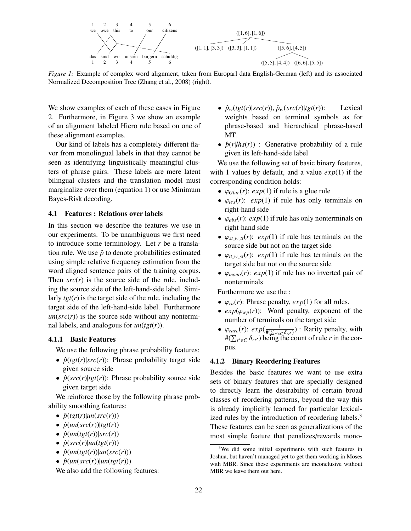

*Figure 1:* Example of complex word alignment, taken from Europarl data English-German (left) and its associated Normalized Decomposition Tree (Zhang et al., 2008) (right).

We show examples of each of these cases in Figure 2. Furthermore, in Figure 3 we show an example of an alignment labeled Hiero rule based on one of these alignment examples.

Our kind of labels has a completely different flavor from monolingual labels in that they cannot be seen as identifying linguistically meaningful clusters of phrase pairs. These labels are mere latent bilingual clusters and the translation model must marginalize over them (equation 1) or use Minimum Bayes-Risk decoding.

## 4.1 Features : Relations over labels

In this section we describe the features we use in our experiments. To be unambiguous we first need to introduce some terminology. Let *r* be a translation rule. We use  $\hat{p}$  to denote probabilities estimated using simple relative frequency estimation from the word aligned sentence pairs of the training corpus. Then  $src(r)$  is the source side of the rule, including the source side of the left-hand-side label. Similarly *tgt*(*r*) is the target side of the rule, including the target side of the left-hand-side label. Furthermore  $un(src(r))$  is the source side without any nonterminal labels, and analogous for *un*(*tgt*(*r*)).

#### 4.1.1 Basic Features

We use the following phrase probability features:

- $\hat{p}(tgt(r)|src(r))$ : Phrase probability target side given source side
- $\hat{p}(src(r)|tgt(r))$ : Phrase probability source side given target side

We reinforce those by the following phrase probability smoothing features:

- $\hat{p}(tgt(r)|un(src(r)))$
- $\hat{p}(un(src(r))|tgt(r))$
- $\hat{p}(un(tgt(r))|src(r))$
- $\hat{p}(src(r)|un(tgt(r)))$
- $\hat{p}(\text{un}(tgt(r))|\text{un}(src(r)))$
- $\hat{p}(un(src(r))|un(tgt(r)))$

We also add the following features:

- $\hat{p}_w(tgt(r)|src(r))$ ,  $\hat{p}_w(src(r)|tgt(r))$ : Lexical weights based on terminal symbols as for phrase-based and hierarchical phrase-based MT.
- $\hat{p}(r|lh_{S}(r))$ : Generative probability of a rule given its left-hand-side label

We use the following set of basic binary features, with 1 values by default, and a value *exp*(1) if the corresponding condition holds:

- $\varphi_{Glue}(r)$ :  $exp(1)$  if rule is a glue rule
- $\varphi_{lex}(r)$ :  $exp(1)$  if rule has only terminals on right-hand side
- $\varphi_{abs}(r)$ :  $exp(1)$  if rule has only nonterminals on right-hand side
- $\varphi_{st,w,tt}(r)$ :  $exp(1)$  if rule has terminals on the source side but not on the target side
- $\varphi_{tt,w,st}(r)$ :  $exp(1)$  if rule has terminals on the target side but not on the source side
- $\varphi_{mono}(r)$ :  $exp(1)$  if rule has no inverted pair of nonterminals

Furthermore we use the :

- $\varphi_{ra}(r)$ : Phrase penalty,  $exp(1)$  for all rules.
- $exp(\varphi_{wp}(r))$ : Word penalty, exponent of the number of terminals on the target side
- $\varphi_{rare}(r)$ :  $exp(\frac{1}{\#(\sum_{r' \in C} \delta_{rr'})})$ : Rarity penalty, with  $\#(\sum_{r} \in \delta_{rr'})$  being the count of rule *r* in the cor-#( $\sum_{r' \in C} \delta_{rr'}$ ) being the count of rule *r* in the corpus.

## 4.1.2 Binary Reordering Features

Besides the basic features we want to use extra sets of binary features that are specially designed to directly learn the desirability of certain broad classes of reordering patterns, beyond the way this is already implicitly learned for particular lexicalized rules by the introduction of reordering labels.<sup>3</sup> These features can be seen as generalizations of the most simple feature that penalizes/rewards mono-

<sup>&</sup>lt;sup>3</sup>We did some initial experiments with such features in Joshua, but haven't managed yet to get them working in Moses with MBR. Since these experiments are inconclusive without MBR we leave them out here.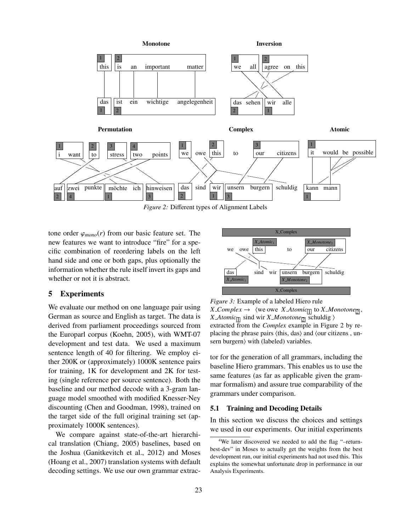

*Figure 2:* Different types of Alignment Labels

tone order  $\varphi_{mono}(r)$  from our basic feature set. The new features we want to introduce "fire" for a specific combination of reordering labels on the left hand side and one or both gaps, plus optionally the information whether the rule itself invert its gaps and whether or not it is abstract.

## 5 Experiments

We evaluate our method on one language pair using German as source and English as target. The data is derived from parliament proceedings sourced from the Europarl corpus (Koehn, 2005), with WMT-07 development and test data. We used a maximum sentence length of 40 for filtering. We employ either 200K or (approximately) 1000K sentence pairs for training, 1K for development and 2K for testing (single reference per source sentence). Both the baseline and our method decode with a 3-gram language model smoothed with modified Knesser-Ney discounting (Chen and Goodman, 1998), trained on the target side of the full original training set (approximately 1000K sentences).

We compare against state-of-the-art hierarchical translation (Chiang, 2005) baselines, based on the Joshua (Ganitkevitch et al., 2012) and Moses (Hoang et al., 2007) translation systems with default decoding settings. We use our own grammar extrac-



*Figure 3:* Example of a labeled Hiero rule  $X\text{-}Complex \rightarrow \langle$  we owe  $X\text{-}Atomic_{\boxed{1}}$  to  $X\text{-}Monotone_{\boxed{2}}$ , *X\_Atomic*<sub>[1]</sub> sind wir *X\_Monotone*<sub>[2]</sub> schuldig  $\rangle$ extracted from the *Complex* example in Figure 2 by replacing the phrase pairs  $\langle$ this, das $\rangle$  and  $\langle$  our citizens , unsern burgern) with (labeled) variables.

tor for the generation of all grammars, including the baseline Hiero grammars. This enables us to use the same features (as far as applicable given the grammar formalism) and assure true comparability of the grammars under comparison.

### 5.1 Training and Decoding Details

In this section we discuss the choices and settings we used in our experiments. Our initial experiments

<sup>4</sup>We later discovered we needed to add the flag "–returnbest-dev" in Moses to actually get the weights from the best development run, our initial experiments had not used this. This explains the somewhat unfortunate drop in performance in our Analysis Experiments.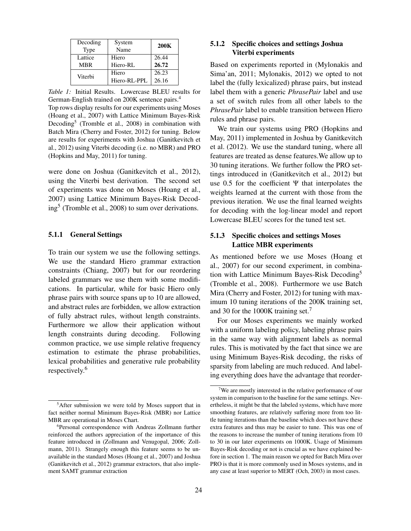| Decoding   | System       | <b>200K</b> |  |
|------------|--------------|-------------|--|
| Type       | Name         |             |  |
| Lattice    | Hiero        | 26.44       |  |
| <b>MBR</b> | Hiero-RL     | 26.72       |  |
| Viterbi    | Hiero        | 26.23       |  |
|            | Hiero-RL-PPL | 26.16       |  |

*Table 1:* Initial Results. Lowercase BLEU results for German-English trained on 200K sentence pairs.<sup>4</sup>

Top rows display results for our experiments using Moses (Hoang et al., 2007) with Lattice Minimum Bayes-Risk Decoding<sup>5</sup> (Tromble et al., 2008) in combination with Batch Mira (Cherry and Foster, 2012) for tuning. Below are results for experiments with Joshua (Ganitkevitch et al., 2012) using Viterbi decoding (i.e. no MBR) and PRO (Hopkins and May, 2011) for tuning.

were done on Joshua (Ganitkevitch et al., 2012), using the Viterbi best derivation. The second set of experiments was done on Moses (Hoang et al., 2007) using Lattice Minimum Bayes-Risk Decoding<sup>5</sup> (Tromble et al., 2008) to sum over derivations.

#### 5.1.1 General Settings

To train our system we use the following settings. We use the standard Hiero grammar extraction constraints (Chiang, 2007) but for our reordering labeled grammars we use them with some modifications. In particular, while for basic Hiero only phrase pairs with source spans up to 10 are allowed, and abstract rules are forbidden, we allow extraction of fully abstract rules, without length constraints. Furthermore we allow their application without length constraints during decoding. Following common practice, we use simple relative frequency estimation to estimate the phrase probabilities, lexical probabilities and generative rule probability respectively.<sup>6</sup>

## 5.1.2 Specific choices and settings Joshua Viterbi experiments

Based on experiments reported in (Mylonakis and Sima'an, 2011; Mylonakis, 2012) we opted to not label the (fully lexicalized) phrase pairs, but instead label them with a generic *PhrasePair* label and use a set of switch rules from all other labels to the *PhrasePair* label to enable transition between Hiero rules and phrase pairs.

We train our systems using PRO (Hopkins and May, 2011) implemented in Joshua by Ganitkevitch et al. (2012). We use the standard tuning, where all features are treated as dense features.We allow up to 30 tuning iterations. We further follow the PRO settings introduced in (Ganitkevitch et al., 2012) but use 0.5 for the coefficient  $\Psi$  that interpolates the weights learned at the current with those from the previous iteration. We use the final learned weights for decoding with the log-linear model and report Lowercase BLEU scores for the tuned test set.

## 5.1.3 Specific choices and settings Moses Lattice MBR experiments

As mentioned before we use Moses (Hoang et al., 2007) for our second experiment, in combination with Lattice Minimum Bayes-Risk Decoding<sup>5</sup> (Tromble et al., 2008). Furthermore we use Batch Mira (Cherry and Foster, 2012) for tuning with maximum 10 tuning iterations of the 200K training set, and 30 for the 1000K training set.<sup>7</sup>

For our Moses experiments we mainly worked with a uniform labeling policy, labeling phrase pairs in the same way with alignment labels as normal rules. This is motivated by the fact that since we are using Minimum Bayes-Risk decoding, the risks of sparsity from labeling are much reduced. And labeling everything does have the advantage that reorder-

<sup>5</sup>After submission we were told by Moses support that in fact neither normal Minimum Bayes-Risk (MBR) nor Lattice MBR are operational in Moses Chart.

<sup>6</sup>Personal correspondence with Andreas Zollmann further reinforced the authors appreciation of the importance of this feature introduced in (Zollmann and Venugopal, 2006; Zollmann, 2011). Strangely enough this feature seems to be unavailable in the standard Moses (Hoang et al., 2007) and Joshua (Ganitkevitch et al., 2012) grammar extractors, that also implement SAMT grammar extraction

<sup>7</sup>We are mostly interested in the relative performance of our system in comparison to the baseline for the same settings. Nevertheless, it might be that the labeled systems, which have more smoothing features, are relatively suffering more from too little tuning iterations than the baseline which does not have these extra features and thus may be easier to tune. This was one of the reasons to increase the number of tuning iterations from 10 to 30 in our later experiments on 1000K. Usage of Minimum Bayes-Risk decoding or not is crucial as we have explained before in section 1. The main reason we opted for Batch Mira over PRO is that it is more commonly used in Moses systems, and in any case at least superior to MERT (Och, 2003) in most cases.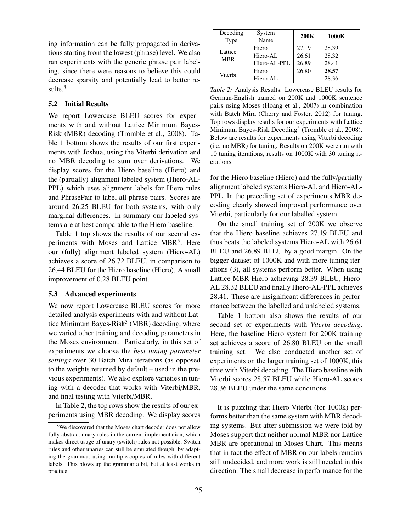ing information can be fully propagated in derivations starting from the lowest (phrase) level. We also ran experiments with the generic phrase pair labeling, since there were reasons to believe this could decrease sparsity and potentially lead to better results.<sup>8</sup>

## 5.2 Initial Results

We report Lowercase BLEU scores for experiments with and without Lattice Minimum Bayes-Risk (MBR) decoding (Tromble et al., 2008). Table 1 bottom shows the results of our first experiments with Joshua, using the Viterbi derivation and no MBR decoding to sum over derivations. We display scores for the Hiero baseline (Hiero) and the (partially) alignment labeled system (Hiero-AL-PPL) which uses alignment labels for Hiero rules and PhrasePair to label all phrase pairs. Scores are around 26.25 BLEU for both systems, with only marginal differences. In summary our labeled systems are at best comparable to the Hiero baseline.

Table 1 top shows the results of our second experiments with Moses and Lattice MBR<sup>5</sup>. Here our (fully) alignment labeled system (Hiero-AL) achieves a score of 26.72 BLEU, in comparison to 26.44 BLEU for the Hiero baseline (Hiero). A small improvement of 0.28 BLEU point.

#### 5.3 Advanced experiments

We now report Lowercase BLEU scores for more detailed analysis experiments with and without Lattice Minimum Bayes-Risk<sup>5</sup> (MBR) decoding, where we varied other training and decoding parameters in the Moses environment. Particularly, in this set of experiments we choose the *best tuning parameter settings* over 30 Batch Mira iterations (as opposed to the weights returned by default – used in the previous experiments). We also explore varieties in tuning with a decoder that works with Viterbi/MBR, and final testing with Viterbi/MBR.

In Table 2, the top rows show the results of our experiments using MBR decoding. We display scores

| Decoding              | System<br>Name | <b>200K</b> | 1000K |
|-----------------------|----------------|-------------|-------|
| Type                  |                |             |       |
| Lattice<br><b>MBR</b> | Hiero          | 27.19       | 28.39 |
|                       | Hiero-AL       | 26.61       | 28.32 |
|                       | Hiero-AL-PPL   | 26.89       | 28.41 |
| Viterbi               | Hiero          | 26.80       | 28.57 |
|                       | Hiero-AL       |             | 28.36 |

*Table 2:* Analysis Results. Lowercase BLEU results for German-English trained on 200K and 1000K sentence pairs using Moses (Hoang et al., 2007) in combination with Batch Mira (Cherry and Foster, 2012) for tuning. Top rows display results for our experiments with Lattice Minimum Bayes-Risk Decoding<sup>5</sup> (Tromble et al., 2008). Below are results for experiments using Viterbi decoding (i.e. no MBR) for tuning. Results on 200K were run with 10 tuning iterations, results on 1000K with 30 tuning iterations.

for the Hiero baseline (Hiero) and the fully/partially alignment labeled systems Hiero-AL and Hiero-AL-PPL. In the preceding set of experiments MBR decoding clearly showed improved performance over Viterbi, particularly for our labelled system.

On the small training set of 200K we observe that the Hiero baseline achieves 27.19 BLEU and thus beats the labeled systems Hiero-AL with 26.61 BLEU and 26.89 BLEU by a good margin. On the bigger dataset of 1000K and with more tuning iterations (3), all systems perform better. When using Lattice MBR Hiero achieving 28.39 BLEU, Hiero-AL 28.32 BLEU and finally Hiero-AL-PPL achieves 28.41. These are insignificant differences in performance between the labelled and unlabeled systems.

Table 1 bottom also shows the results of our second set of experiments with *Viterbi decoding*. Here, the baseline Hiero system for 200K training set achieves a score of 26.80 BLEU on the small training set. We also conducted another set of experiments on the larger training set of 1000K, this time with Viterbi decoding. The Hiero baseline with Viterbi scores 28.57 BLEU while Hiero-AL scores 28.36 BLEU under the same conditions.

It is puzzling that Hiero Viterbi (for 1000k) performs better than the same system with MBR decoding systems. But after submission we were told by Moses support that neither normal MBR nor Lattice MBR are operational in Moses Chart. This means that in fact the effect of MBR on our labels remains still undecided, and more work is still needed in this direction. The small decrease in performance for the

<sup>&</sup>lt;sup>8</sup>We discovered that the Moses chart decoder does not allow fully abstract unary rules in the current implementation, which makes direct usage of unary (switch) rules not possible. Switch rules and other unaries can still be emulated though, by adapting the grammar, using multiple copies of rules with different labels. This blows up the grammar a bit, but at least works in practice.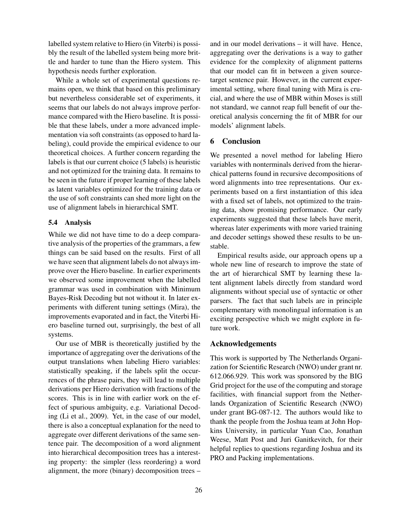labelled system relative to Hiero (in Viterbi) is possibly the result of the labelled system being more brittle and harder to tune than the Hiero system. This hypothesis needs further exploration.

While a whole set of experimental questions remains open, we think that based on this preliminary but nevertheless considerable set of experiments, it seems that our labels do not always improve performance compared with the Hiero baseline. It is possible that these labels, under a more advanced implementation via soft constraints (as opposed to hard labeling), could provide the empirical evidence to our theoretical choices. A further concern regarding the labels is that our current choice (5 labels) is heuristic and not optimized for the training data. It remains to be seen in the future if proper learning of these labels as latent variables optimized for the training data or the use of soft constraints can shed more light on the use of alignment labels in hierarchical SMT.

### 5.4 Analysis

While we did not have time to do a deep comparative analysis of the properties of the grammars, a few things can be said based on the results. First of all we have seen that alignment labels do not always improve over the Hiero baseline. In earlier experiments we observed some improvement when the labelled grammar was used in combination with Minimum Bayes-Risk Decoding but not without it. In later experiments with different tuning settings (Mira), the improvements evaporated and in fact, the Viterbi Hiero baseline turned out, surprisingly, the best of all systems.

Our use of MBR is theoretically justified by the importance of aggregating over the derivations of the output translations when labeling Hiero variables: statistically speaking, if the labels split the occurrences of the phrase pairs, they will lead to multiple derivations per Hiero derivation with fractions of the scores. This is in line with earlier work on the effect of spurious ambiguity, e.g. Variational Decoding (Li et al., 2009). Yet, in the case of our model, there is also a conceptual explanation for the need to aggregate over different derivations of the same sentence pair. The decomposition of a word alignment into hierarchical decomposition trees has a interesting property: the simpler (less reordering) a word alignment, the more (binary) decomposition trees – and in our model derivations – it will have. Hence, aggregating over the derivations is a way to gather evidence for the complexity of alignment patterns that our model can fit in between a given sourcetarget sentence pair. However, in the current experimental setting, where final tuning with Mira is crucial, and where the use of MBR within Moses is still not standard, we cannot reap full benefit of our theoretical analysis concerning the fit of MBR for our models' alignment labels.

## 6 Conclusion

We presented a novel method for labeling Hiero variables with nonterminals derived from the hierarchical patterns found in recursive decompositions of word alignments into tree representations. Our experiments based on a first instantiation of this idea with a fixed set of labels, not optimized to the training data, show promising performance. Our early experiments suggested that these labels have merit, whereas later experiments with more varied training and decoder settings showed these results to be unstable.

Empirical results aside, our approach opens up a whole new line of research to improve the state of the art of hierarchical SMT by learning these latent alignment labels directly from standard word alignments without special use of syntactic or other parsers. The fact that such labels are in principle complementary with monolingual information is an exciting perspective which we might explore in future work.

## Acknowledgements

This work is supported by The Netherlands Organization for Scientific Research (NWO) under grant nr. 612.066.929. This work was sponsored by the BIG Grid project for the use of the computing and storage facilities, with financial support from the Netherlands Organization of Scientific Research (NWO) under grant BG-087-12. The authors would like to thank the people from the Joshua team at John Hopkins University, in particular Yuan Cao, Jonathan Weese, Matt Post and Juri Ganitkevitch, for their helpful replies to questions regarding Joshua and its PRO and Packing implementations.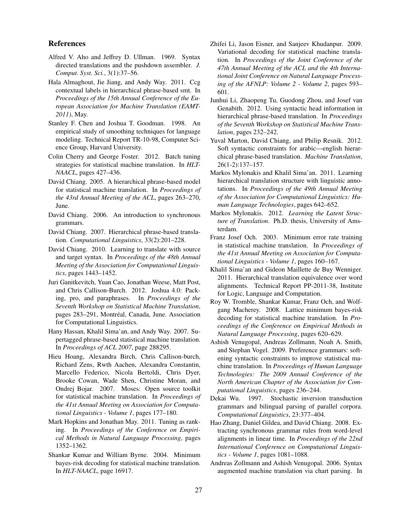## References

- Alfred V. Aho and Jeffrey D. Ullman. 1969. Syntax directed translations and the pushdown assembler. *J. Comput. Syst. Sci.*, 3(1):37–56.
- Hala Almaghout, Jie Jiang, and Andy Way. 2011. Ccg contextual labels in hierarchical phrase-based smt. In *Proceedings of the 15th Annual Conference of the European Association for Machine Translation (EAMT-2011)*, May.
- Stanley F. Chen and Joshua T. Goodman. 1998. An empirical study of smoothing techniques for language modeling. Technical Report TR-10-98, Computer Science Group, Harvard University.
- Colin Cherry and George Foster. 2012. Batch tuning strategies for statistical machine translation. In *HLT-NAACL*, pages 427–436.
- David Chiang. 2005. A hierarchical phrase-based model for statistical machine translation. In *Proceedings of the 43rd Annual Meeting of the ACL*, pages 263–270, June.
- David Chiang. 2006. An introduction to synchronous grammars.
- David Chiang. 2007. Hierarchical phrase-based translation. *Computational Linguistics*, 33(2):201–228.
- David Chiang. 2010. Learning to translate with source and target syntax. In *Proceedings of the 48th Annual Meeting of the Association for Computational Linguistics*, pages 1443–1452.
- Juri Ganitkevitch, Yuan Cao, Jonathan Weese, Matt Post, and Chris Callison-Burch. 2012. Joshua 4.0: Packing, pro, and paraphrases. In *Proceedings of the Seventh Workshop on Statistical Machine Translation*, pages 283–291, Montréal, Canada, June. Association for Computational Linguistics.
- Hany Hassan, Khalil Sima'an, and Andy Way. 2007. Supertagged phrase-based statistical machine translation. In *Proceedings of ACL 2007*, page 288295.
- Hieu Hoang, Alexandra Birch, Chris Callison-burch, Richard Zens, Rwth Aachen, Alexandra Constantin, Marcello Federico, Nicola Bertoldi, Chris Dyer, Brooke Cowan, Wade Shen, Christine Moran, and Ondrej Bojar. 2007. Moses: Open source toolkit for statistical machine translation. In *Proceedings of the 41st Annual Meeting on Association for Computational Linguistics - Volume 1*, pages 177–180.
- Mark Hopkins and Jonathan May. 2011. Tuning as ranking. In *Proceedings of the Conference on Empirical Methods in Natural Language Processing*, pages 1352–1362.
- Shankar Kumar and William Byrne. 2004. Minimum bayes-risk decoding for statistical machine translation. In *HLT-NAACL*, page 16917.
- Zhifei Li, Jason Eisner, and Sanjeev Khudanpur. 2009. Variational decoding for statistical machine translation. In *Proceedings of the Joint Conference of the 47th Annual Meeting of the ACL and the 4th International Joint Conference on Natural Language Processing of the AFNLP: Volume 2 - Volume 2*, pages 593– 601.
- Junhui Li, Zhaopeng Tu, Guodong Zhou, and Josef van Genabith. 2012. Using syntactic head information in hierarchical phrase-based translation. In *Proceedings of the Seventh Workshop on Statistical Machine Translation*, pages 232–242.
- Yuval Marton, David Chiang, and Philip Resnik. 2012. Soft syntactic constraints for arabic—english hierarchical phrase-based translation. *Machine Translation*, 26(1-2):137–157.
- Markos Mylonakis and Khalil Sima'an. 2011. Learning hierarchical translation structure with linguistic annotations. In *Proceedings of the 49th Annual Meeting of the Association for Computational Linguistics: Human Language Technologies*, pages 642–652.
- Markos Mylonakis. 2012. *Learning the Latent Structure of Translation*. Ph.D. thesis, University of Amsterdam.
- Franz Josef Och. 2003. Minimum error rate training in statistical machine translation. In *Proceedings of the 41st Annual Meeting on Association for Computational Linguistics - Volume 1*, pages 160–167.
- Khalil Sima'an and Gideon Maillette de Buy Wenniger. 2011. Hierarchical translation equivalence over word alignments. Technical Report PP-2011-38, Institute for Logic, Language and Computation.
- Roy W. Tromble, Shankar Kumar, Franz Och, and Wolfgang Macherey. 2008. Lattice minimum bayes-risk decoding for statistical machine translation. In *Proceedings of the Conference on Empirical Methods in Natural Language Processing*, pages 620–629.
- Ashish Venugopal, Andreas Zollmann, Noah A. Smith, and Stephan Vogel. 2009. Preference grammars: softening syntactic constraints to improve statistical machine translation. In *Proceedings of Human Language Technologies: The 2009 Annual Conference of the North American Chapter of the Association for Computational Linguistics*, pages 236–244.
- Dekai Wu. 1997. Stochastic inversion transduction grammars and bilingual parsing of parallel corpora. *Computational Linguistics*, 23:377–404.
- Hao Zhang, Daniel Gildea, and David Chiang. 2008. Extracting synchronous grammar rules from word-level alignments in linear time. In *Proceedings of the 22nd International Conference on Computational Linguistics - Volume 1*, pages 1081–1088.
- Andreas Zollmann and Ashish Venugopal. 2006. Syntax augmented machine translation via chart parsing. In